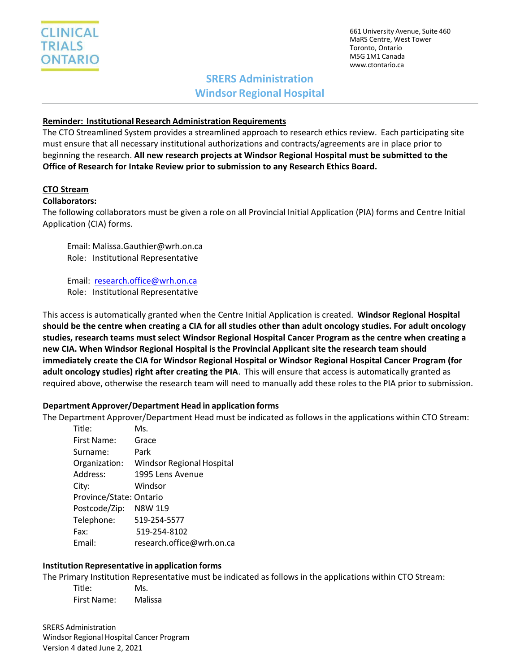661 University Avenue, Suite 460 MaRS Centre, West Tower Toronto, Ontario M5G 1M1 Canada [www.ctontario.ca](http://www.ctontario.ca/)

# **SRERS Administration Windsor Regional Hospital**

#### **Reminder: Institutional Research Administration Requirements**

The CTO Streamlined System provides a streamlined approach to research ethics review. Each participating site must ensure that all necessary institutional authorizations and contracts/agreements are in place prior to beginning the research. **All new research projects at Windsor Regional Hospital must be submitted to the Office of Research for Intake Review prior to submission to any Research Ethics Board.**

### **CTO Stream**

#### **Collaborators:**

The following collaborators must be given a role on all Provincial Initial Application (PIA) forms and Centre Initial Application (CIA) forms.

Email: Malissa.Gauthier@wrh.on.ca Role: Institutional Representative

Email: [research.office@wrh.on.ca](mailto:research.office@wrh.on.ca)

Role: Institutional Representative

This access is automatically granted when the Centre Initial Application is created. **Windsor Regional Hospital should be the centre when creating a CIA for all studies other than adult oncology studies. For adult oncology studies, research teams must select Windsor Regional Hospital Cancer Program as the centre when creating a new CIA. When Windsor Regional Hospital is the Provincial Applicant site the research team should immediately create the CIA for Windsor Regional Hospital or Windsor Regional Hospital Cancer Program (for adult oncology studies) right after creating the PIA**. This will ensure that access is automatically granted as required above, otherwise the research team will need to manually add these roles to the PIA prior to submission.

#### **Department Approver/Department Head in application forms**

The Department Approver/Department Head must be indicated as follows in the applications within CTO Stream:

| Title:                  | Ms.                       |
|-------------------------|---------------------------|
| First Name:             | Grace                     |
| Surname:                | Park                      |
| Organization:           | Windsor Regional Hospital |
| Address:                | 1995 Lens Avenue          |
| City:                   | Windsor                   |
| Province/State: Ontario |                           |
| Postcode/Zip:           | <b>N8W 1L9</b>            |
| Telephone:              | 519-254-5577              |
| Fax:                    | 519-254-8102              |
| Email:                  | research.office@wrh.on.ca |

## **Institution Representative in application forms**

The Primary Institution Representative must be indicated as follows in the applications within CTO Stream:

Title: Ms. First Name: Malissa

SRERS Administration Windsor Regional Hospital Cancer Program Version 4 dated June 2, 2021